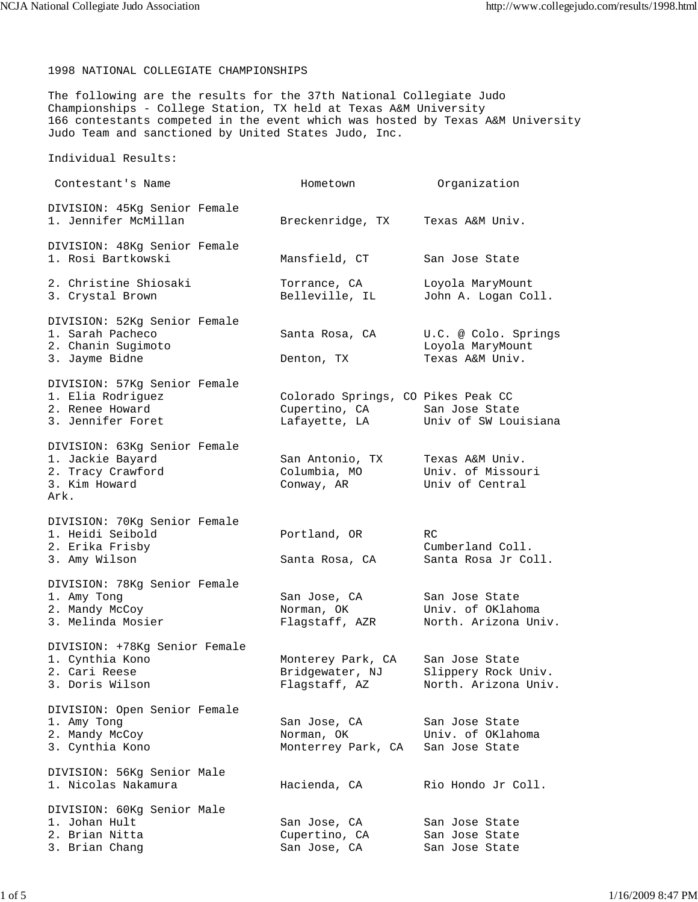1998 NATIONAL COLLEGIATE CHAMPIONSHIPS

The following are the results for the 37th National Collegiate Judo Championships - College Station, TX held at Texas A&M University 166 contestants competed in the event which was hosted by Texas A&M University Judo Team and sanctioned by United States Judo, Inc.

Individual Results:

| Contestant's Name                                                                              | Hometown                                                             | Organization                                                  |
|------------------------------------------------------------------------------------------------|----------------------------------------------------------------------|---------------------------------------------------------------|
| DIVISION: 45Kg Senior Female<br>1. Jennifer McMillan                                           | Breckenridge, TX                                                     | Texas A&M Univ.                                               |
| DIVISION: 48Kg Senior Female<br>1. Rosi Bartkowski                                             | Mansfield, CT                                                        | San Jose State                                                |
| 2. Christine Shiosaki<br>3. Crystal Brown                                                      | Torrance, CA<br>Belleville, IL                                       | Loyola MaryMount<br>John A. Logan Coll.                       |
| DIVISION: 52Kg Senior Female<br>1. Sarah Pacheco<br>2. Chanin Sugimoto<br>3. Jayme Bidne       | Santa Rosa, CA<br>Denton, TX                                         | U.C. @ Colo. Springs<br>Loyola MaryMount<br>Texas A&M Univ.   |
| DIVISION: 57Kg Senior Female<br>1. Elia Rodriguez<br>2. Renee Howard<br>3. Jennifer Foret      | Colorado Springs, CO Pikes Peak CC<br>Cupertino, CA<br>Lafayette, LA | San Jose State<br>Univ of SW Louisiana                        |
| DIVISION: 63Kg Senior Female<br>1. Jackie Bayard<br>2. Tracy Crawford<br>3. Kim Howard<br>Ark. | San Antonio, TX<br>Columbia, MO<br>Conway, AR                        | Texas A&M Univ.<br>Univ. of Missouri<br>Univ of Central       |
| DIVISION: 70Kg Senior Female<br>1. Heidi Seibold<br>2. Erika Frisby<br>3. Amy Wilson           | Portland, OR<br>Santa Rosa, CA                                       | RC.<br>Cumberland Coll.<br>Santa Rosa Jr Coll.                |
| DIVISION: 78Kg Senior Female<br>1. Amy Tong<br>2. Mandy McCoy<br>3. Melinda Mosier             | San Jose, CA<br>Norman, OK<br>Flagstaff, AZR                         | San Jose State<br>Univ. of OKlahoma<br>North. Arizona Univ.   |
| DIVISION: +78Kg Senior Female<br>1. Cynthia Kono<br>2. Cari Reese<br>3. Doris Wilson           | Monterey Park, CA<br>Bridgewater, NJ<br>Flagstaff, AZ                | San Jose State<br>Slippery Rock Univ.<br>North. Arizona Univ. |
| DIVISION: Open Senior Female<br>1. Amy Tong<br>2. Mandy McCoy<br>3. Cynthia Kono               | San Jose, CA<br>Norman, OK<br>Monterrey Park, CA                     | San Jose State<br>Univ. of OKlahoma<br>San Jose State         |
| DIVISION: 56Kg Senior Male<br>1. Nicolas Nakamura                                              | Hacienda, CA                                                         | Rio Hondo Jr Coll.                                            |
| DIVISION: 60Kg Senior Male<br>1. Johan Hult<br>2. Brian Nitta<br>3. Brian Chang                | San Jose, CA<br>Cupertino, CA<br>San Jose, CA                        | San Jose State<br>San Jose State<br>San Jose State            |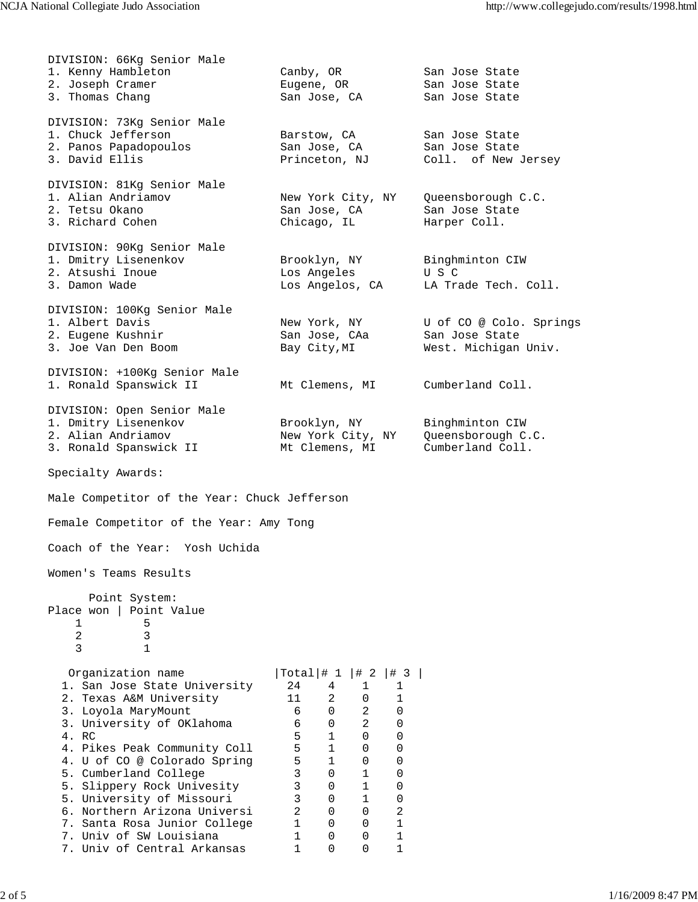| DIVISION: 66Kg Senior Male                   |                   |              |              |              |                         |
|----------------------------------------------|-------------------|--------------|--------------|--------------|-------------------------|
| 1. Kenny Hambleton                           | Canby, OR         |              |              |              | San Jose State          |
| 2. Joseph Cramer                             | Eugene, OR        |              |              |              | San Jose State          |
| 3. Thomas Chang                              | San Jose, CA      |              |              |              | San Jose State          |
|                                              |                   |              |              |              |                         |
| DIVISION: 73Kg Senior Male                   |                   |              |              |              |                         |
| 1. Chuck Jefferson                           | Barstow, CA       |              |              |              | San Jose State          |
| 2. Panos Papadopoulos                        | San Jose, CA      |              |              |              | San Jose State          |
| 3. David Ellis                               | Princeton, NJ     |              |              |              | Coll. of New Jersey     |
| DIVISION: 81Kg Senior Male                   |                   |              |              |              |                         |
| 1. Alian Andriamov                           | New York City, NY |              |              |              | Queensborough C.C.      |
| 2. Tetsu Okano                               | San Jose, CA      |              |              |              | San Jose State          |
| 3. Richard Cohen                             | Chicago, IL       |              |              |              | Harper Coll.            |
|                                              |                   |              |              |              |                         |
| DIVISION: 90Kg Senior Male                   |                   |              |              |              |                         |
| 1. Dmitry Lisenenkov                         | Brooklyn, NY      |              |              |              | Binghminton CIW         |
| 2. Atsushi Inoue                             | Los Angeles       |              |              |              | U S C                   |
| 3. Damon Wade                                | Los Angelos, CA   |              |              |              | LA Trade Tech. Coll.    |
| DIVISION: 100Kg Senior Male                  |                   |              |              |              |                         |
| 1. Albert Davis                              | New York, NY      |              |              |              | U of CO @ Colo. Springs |
| 2. Eugene Kushnir                            | San Jose, CAa     |              |              |              | San Jose State          |
| 3. Joe Van Den Boom                          | Bay City, MI      |              |              |              | West. Michigan Univ.    |
|                                              |                   |              |              |              |                         |
| DIVISION: +100Kg Senior Male                 |                   |              |              |              |                         |
| 1. Ronald Spanswick II                       | Mt Clemens, MI    |              |              |              | Cumberland Coll.        |
| DIVISION: Open Senior Male                   |                   |              |              |              |                         |
| 1. Dmitry Lisenenkov                         | Brooklyn, NY      |              |              |              | Binghminton CIW         |
| 2. Alian Andriamov                           | New York City, NY |              |              |              | Queensborough C.C.      |
| 3. Ronald Spanswick II                       | Mt Clemens, MI    |              |              |              | Cumberland Coll.        |
| Specialty Awards:                            |                   |              |              |              |                         |
|                                              |                   |              |              |              |                         |
| Male Competitor of the Year: Chuck Jefferson |                   |              |              |              |                         |
| Female Competitor of the Year: Amy Tong      |                   |              |              |              |                         |
| Coach of the Year: Yosh Uchida               |                   |              |              |              |                         |
| Women's Teams Results                        |                   |              |              |              |                         |
|                                              |                   |              |              |              |                         |
| Point System:                                |                   |              |              |              |                         |
| Place won   Point Value                      |                   |              |              |              |                         |
| 1<br>5<br>2<br>3                             |                   |              |              |              |                         |
| 3<br>$\mathbf{1}$                            |                   |              |              |              |                         |
|                                              |                   |              |              |              |                         |
| Organization name                            | $Total \mid # 1$  |              | $ $ # 2      | $ $ # 3      |                         |
| 1. San Jose State University                 | 24                | 4            | 1            | 1            |                         |
| 2. Texas A&M University                      | 11                | 2            | 0            | 1            |                         |
| 3. Loyola MaryMount                          | 6                 | $\mathbf 0$  | 2            | 0            |                         |
| 3. University of OKlahoma                    | 6                 | 0            | 2            | $\mathbf 0$  |                         |
| 4. RC                                        | 5                 | $\mathbf{1}$ | 0            | $\Omega$     |                         |
| 4. Pikes Peak Community Coll                 | 5                 | 1            | 0            | 0            |                         |
| 4. U of CO @ Colorado Spring                 | 5                 | 1            | 0            | 0            |                         |
| 5. Cumberland College                        | 3                 | $\Omega$     | 1            | 0            |                         |
| 5. Slippery Rock Univesity                   | 3                 | 0            | $\mathbf{1}$ | 0            |                         |
| 5. University of Missouri                    | 3                 | 0            | $\mathbf{1}$ | 0            |                         |
| 6. Northern Arizona Universi                 | $\overline{2}$    | 0            | 0            | 2            |                         |
| 7. Santa Rosa Junior College                 | 1                 | 0            | 0            | 1            |                         |
| 7. Univ of SW Louisiana                      | 1                 | 0            | 0            | 1            |                         |
| 7. Univ of Central Arkansas                  | 1                 | 0            | $\Omega$     | $\mathbf{1}$ |                         |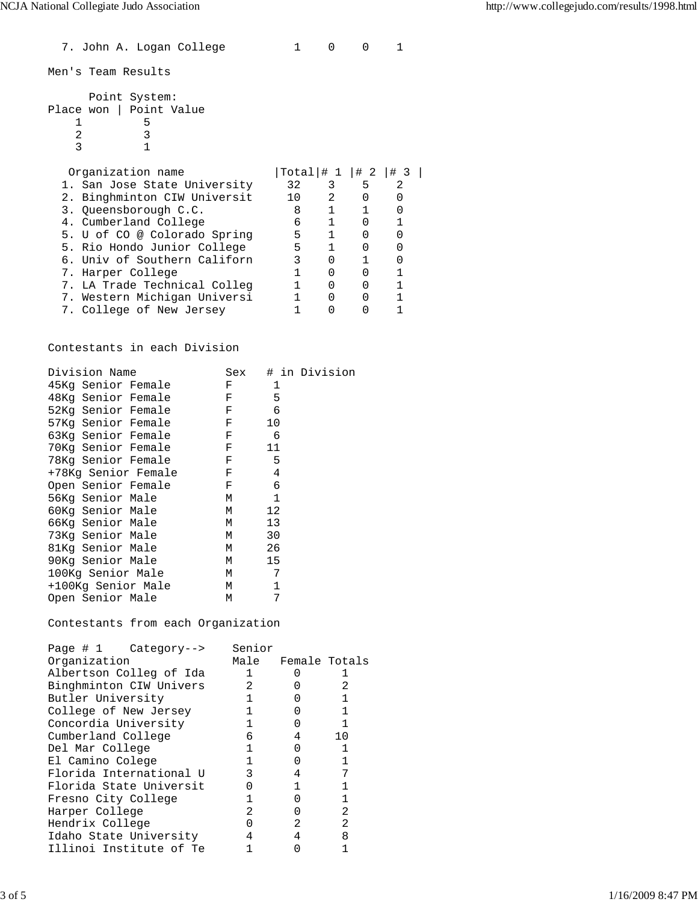7. John A. Logan College 1 0 0 1 Men's Team Results Point System: Place won | Point Value  $\begin{array}{ccc} 1 & & & 5 \\ 2 & & & 3 \end{array}$ 2 3 3 1 Organization name  $\vert \text{Total} \vert \# 1 \vert \# 2 \vert \# 3 \vert$ <br>1. San Jose State University 32 3 5 2<br>2. Binghminton CIW Universit 10 2 0 0 1. San Jose State University 2. Binghminton CIW Universit 10 2 0<br>
3. Queensborough C.C. 8 1 1<br>
4. Cumberland College 6 1 0<br>
5. U of CO @ Colorado Spring 5 1 0 3. Queensborough C.C. 8 1 1 0<br>4. Cumberland College 6 1 0 1 4. Cumberland College 6 1 0 1<br>5. U of CO @ Colorado Spring 5 1 0 0 5. U of CO @ Colorado Spring 5. Rio Hondo Junior College 5 1 0 0 6. Univ of Southern Californ  $\begin{array}{cccc} 3 & 0 & 1 & 0 \\ 7. & \text{Harper College} & 1 & 0 & 0 \\ 1 & 0 & 0 & 1 \end{array}$ 7. Harper College 1 0 0 1 7. LA Trade Technical Colleg 1 0 0 1 7. Western Michigan Universi 1 0 0 1 7. College of New Jersey

Contestants in each Division

| Division Name       | Sex | # in Division |
|---------------------|-----|---------------|
| 45Kq Senior Female  | F   | 1             |
| 48Kg Senior Female  | F   | 5             |
| 52Kq Senior Female  | F   | 6             |
| 57Kg Senior Female  | F   | 10            |
| 63Kg Senior Female  | F   | 6             |
| 70Kg Senior Female  | F   | 11            |
| 78Kg Senior Female  | F   | 5             |
| +78Kq Senior Female | F   | 4             |
| Open Senior Female  | F   | 6             |
| 56Kg Senior Male    | М   | 1             |
| 60Kg Senior Male    | М   | 12            |
| 66Kg Senior Male    | М   | 13            |
| 73Kg Senior Male    | М   | 30            |
| 81Kg Senior Male    | М   | 26            |
| 90Kg Senior Male    | М   | 15            |
| 100Kg Senior Male   | М   | 7             |
| +100Kg Senior Male  | М   | $\mathbf{1}$  |
| Open Senior Male    | М   | 7             |

Contestants from each Organization

| Page $# 1$ Category--><br>Organization | Senior<br>Male | Female Totals |     |
|----------------------------------------|----------------|---------------|-----|
| Albertson Colleg of Ida                |                |               |     |
| Binghminton CIW Univers                | 2              |               |     |
| Butler University                      |                |               |     |
| College of New Jersey                  | 1              |               |     |
| Concordia University                   |                |               | 1   |
| Cumberland College                     | 6              | 4             | 1 O |
| Del Mar College                        |                |               |     |
| El Camino Colege                       |                |               |     |
| Florida International U                | 3              |               |     |
| Florida State Universit                |                |               |     |
| Fresno City College                    |                |               |     |
| Harper College                         | 2.             |               | 2   |
| Hendrix College                        | O              |               | 2   |
| Idaho State University                 | 4              |               | 8   |
| Illinoi Institute of Te                |                |               |     |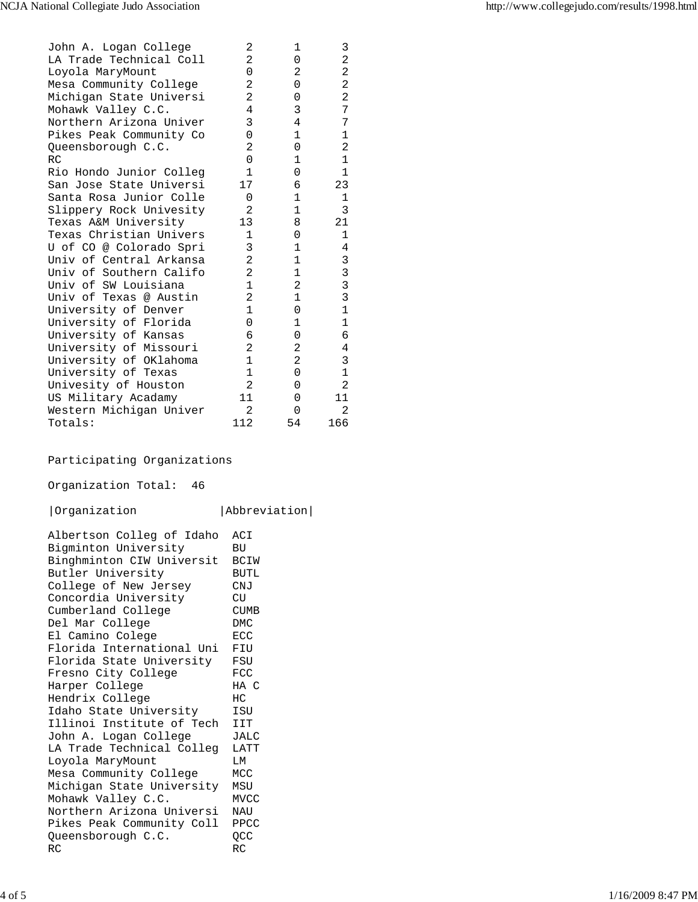| John A. Logan College   | $\overline{2}$<br>$\overline{2}$ | $\mathbf{1}$   | 3              |
|-------------------------|----------------------------------|----------------|----------------|
| LA Trade Technical Coll |                                  | 0              | 2              |
| Loyola MaryMount        | 0                                | 2              | 2              |
| Mesa Community College  | $\overline{2}$                   | 0              | 2              |
| Michigan State Universi | $\overline{2}$<br>4              | $\Omega$       | $\overline{a}$ |
| Mohawk Valley C.C.      |                                  | 3              | 7              |
| Northern Arizona Univer | 3                                | 4              | 7              |
| Pikes Peak Community Co | $\Omega$                         | 1              | 1              |
| Queensborough C.C.      | 2                                | $\Omega$       | 2              |
| RC                      | $\Omega$                         | $\mathbf{1}$   | $\mathbf 1$    |
| Rio Hondo Junior Colleg | $\mathbf{1}$                     | 0              | $\mathbf{1}$   |
| San Jose State Universi | 17                               | 6              | 23             |
| Santa Rosa Junior Colle | 0                                | 1              | 1              |
| Slippery Rock Univesity | $\overline{2}$                   | $\mathbf{1}$   | 3              |
| Texas A&M University    | 13                               | 8              | 21             |
| Texas Christian Univers | 1                                | 0              | $\mathbf{1}$   |
| U of CO @ Colorado Spri | 3                                | 1              | 4              |
| Univ of Central Arkansa | 2                                | $\mathbf{1}$   | 3              |
| Univ of Southern Califo | $\overline{2}$                   | $\mathbf{1}$   | $\frac{3}{3}$  |
| Univ of SW Louisiana    | $\mathbf{1}$                     | 2              |                |
| Univ of Texas @ Austin  | $\overline{2}$                   | $\mathbf{1}$   | $\overline{3}$ |
| University of Denver    | $\mathbf{1}$                     | 0              | $\mathbf{1}$   |
| University of Florida   | $\Omega$                         | 1              | 1              |
| University of Kansas    | 6                                | 0              | 6              |
| University of Missouri  | 2                                | 2              | 4              |
| University of OKlahoma  | $\mathbf{1}$                     | $\overline{2}$ | 3              |
| University of Texas     | $\mathbf{1}$                     | 0              | $\mathbf 1$    |
| Univesity of Houston    | $\overline{2}$                   | 0              | $\overline{2}$ |
| US Military Acadamy     | 11                               | 0              | 11             |
| Western Michigan Univer | $\overline{2}$                   | 0              | $\mathfrak{D}$ |
| Totals:                 | 112                              | 54             | 166            |

## Participating Organizations

Organization Total: 46

## |Organization |Abbreviation|

| Albertson Colleg of Idaho<br>Bigminton University<br>Binghminton CIW Universit<br>Butler University<br>College of New Jersey<br>Concordia University<br>Cumberland College | ACI<br>ВU<br>BCIW<br><b>BUTL</b><br>CMJ<br><b>CU</b><br><b>CUMB</b><br><b>DMC</b> |
|----------------------------------------------------------------------------------------------------------------------------------------------------------------------------|-----------------------------------------------------------------------------------|
| Del Mar College<br>El Camino Colege                                                                                                                                        | ECC                                                                               |
| Florida International Uni                                                                                                                                                  | FIU                                                                               |
| Florida State University                                                                                                                                                   | FSU                                                                               |
| Fresno City College                                                                                                                                                        | <b>FCC</b>                                                                        |
| Harper College                                                                                                                                                             | $HA$ $C$                                                                          |
| Hendrix College                                                                                                                                                            | HC                                                                                |
| Idaho State University                                                                                                                                                     | ISU                                                                               |
| Illinoi Institute of Tech                                                                                                                                                  | IIT                                                                               |
| John A. Logan College                                                                                                                                                      | <b>JALC</b>                                                                       |
| LA Trade Technical Colleg                                                                                                                                                  | LATT                                                                              |
| Loyola MaryMount                                                                                                                                                           | M <sub>I</sub> T                                                                  |
| Mesa Community College                                                                                                                                                     | MCC                                                                               |
| Michigan State University                                                                                                                                                  | MSU                                                                               |
| Mohawk Valley C.C.                                                                                                                                                         | <b>MVCC</b>                                                                       |
| Northern Arizona Universi                                                                                                                                                  | <b>NAU</b>                                                                        |
| Pikes Peak Community Coll                                                                                                                                                  | PPCC                                                                              |
| Queensborough C.C.                                                                                                                                                         | QCC                                                                               |
| <b>RC</b>                                                                                                                                                                  | RC                                                                                |